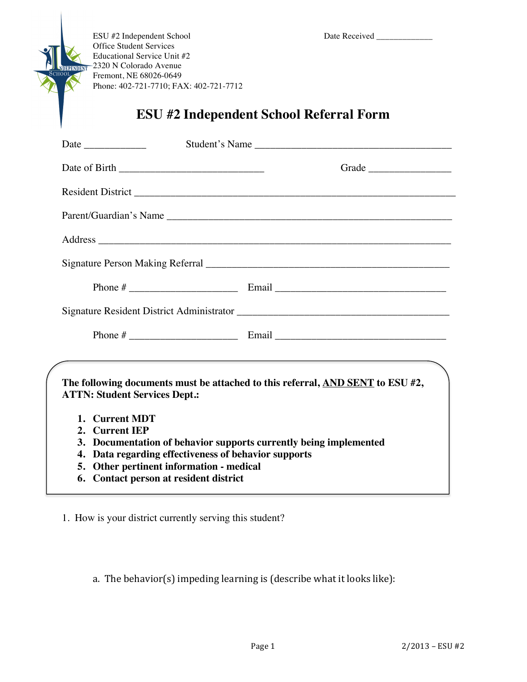ESU #2 Independent School Date Received \_\_\_\_\_\_\_\_\_\_\_\_\_ Office Student Services Educational Service Unit #2 2320 N Colorado Avenue Fremont, NE 68026-0649 Phone: 402-721-7710; FAX: 402-721-7712

**EPEND** 

## **ESU #2 Independent School Referral Form**

|                                                                                                                                                                                                                                                                                                                                                                                                                                                                                                           | Student's Name |
|-----------------------------------------------------------------------------------------------------------------------------------------------------------------------------------------------------------------------------------------------------------------------------------------------------------------------------------------------------------------------------------------------------------------------------------------------------------------------------------------------------------|----------------|
|                                                                                                                                                                                                                                                                                                                                                                                                                                                                                                           |                |
|                                                                                                                                                                                                                                                                                                                                                                                                                                                                                                           |                |
|                                                                                                                                                                                                                                                                                                                                                                                                                                                                                                           |                |
|                                                                                                                                                                                                                                                                                                                                                                                                                                                                                                           |                |
|                                                                                                                                                                                                                                                                                                                                                                                                                                                                                                           |                |
|                                                                                                                                                                                                                                                                                                                                                                                                                                                                                                           |                |
|                                                                                                                                                                                                                                                                                                                                                                                                                                                                                                           |                |
|                                                                                                                                                                                                                                                                                                                                                                                                                                                                                                           |                |
| <u> 1989 - Johann Stoff, deutscher Stoff, der Stoff, der Stoff, der Stoff, der Stoff, der Stoff, der Stoff, der S</u><br>The following documents must be attached to this referral, AND SENT to ESU #2,<br><b>ATTN: Student Services Dept.:</b><br>1. Current MDT<br>2. Current IEP<br>3. Documentation of behavior supports currently being implemented<br>Data regarding effectiveness of behavior supports<br>4.<br>5. Other pertinent information - medical<br>6. Contact person at resident district |                |

1. How is your district currently serving this student?

a. The behavior(s) impeding learning is (describe what it looks like):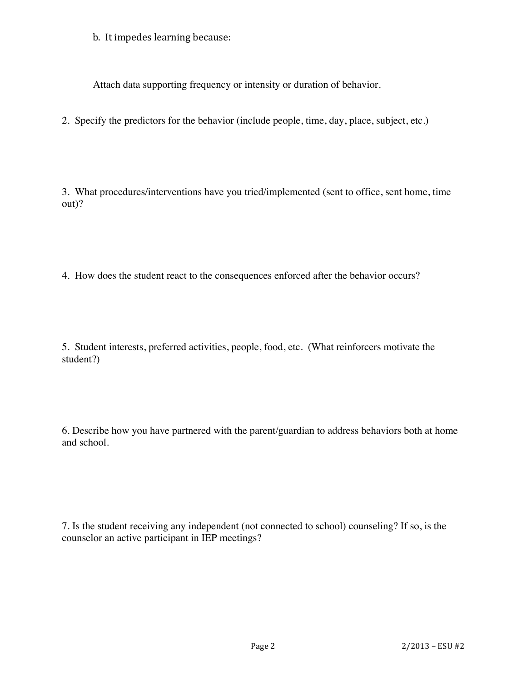b. It impedes learning because:

Attach data supporting frequency or intensity or duration of behavior.

2. Specify the predictors for the behavior (include people, time, day, place, subject, etc.)

3. What procedures/interventions have you tried/implemented (sent to office, sent home, time out)?

4. How does the student react to the consequences enforced after the behavior occurs?

5. Student interests, preferred activities, people, food, etc. (What reinforcers motivate the student?)

6. Describe how you have partnered with the parent/guardian to address behaviors both at home and school.

7. Is the student receiving any independent (not connected to school) counseling? If so, is the counselor an active participant in IEP meetings?